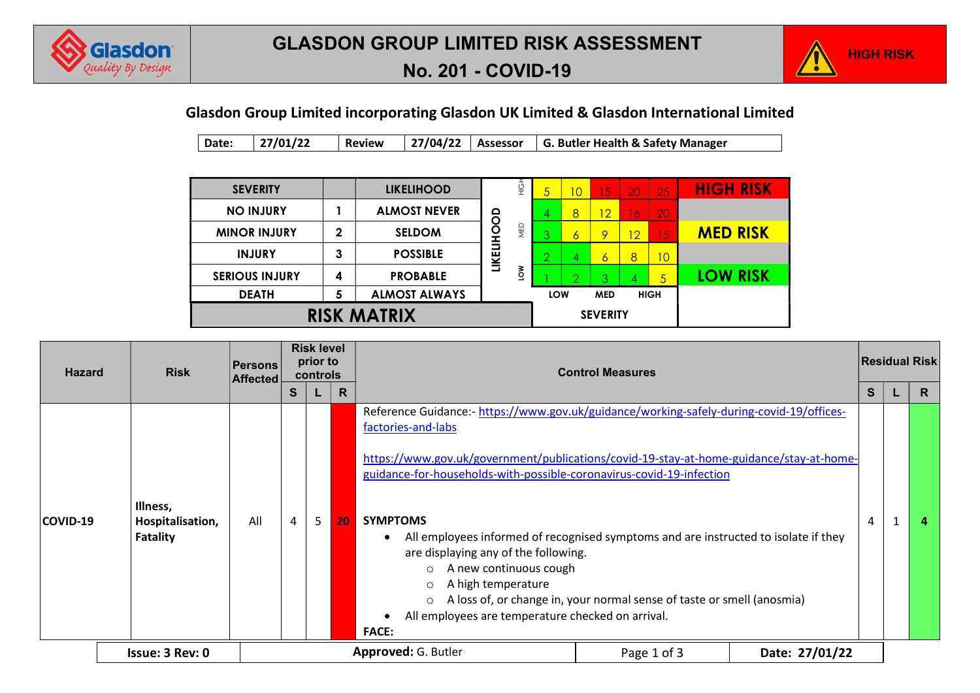



# No. 201 - COVID-19

#### Glasdon Group Limited incorporating Glasdon UK Limited & Glasdon International Limited

Date: 27/01/22 Review 27/04/22 Assessor G. Butler Health & Safety Manager

| <b>SEVERITY</b>       |             | <b>LIKELIHOOD</b>    |                          | さい         | $\overline{5}$ | 10             | 15              | 20 | 25             | <b>HIGH RISK</b> |
|-----------------------|-------------|----------------------|--------------------------|------------|----------------|----------------|-----------------|----|----------------|------------------|
| <b>NO INJURY</b>      |             | <b>ALMOST NEVER</b>  |                          |            | 4              | 8              | $\overline{12}$ | -6 | 20             |                  |
| <b>MINOR INJURY</b>   | $\mathbf 2$ | <b>SELDOM</b>        | <b><i>LIKELIHOOD</i></b> | <b>NED</b> | ≏              | 6              | 9               | 12 | $\overline{5}$ | <b>MED RISK</b>  |
| <b>INJURY</b>         | 3           | <b>POSSIBLE</b>      |                          |            | ∠              | 4              | 6               | 8  | 10             |                  |
| <b>SERIOUS INJURY</b> | 4           | <b>PROBABLE</b>      |                          | Š          |                | $\overline{2}$ | Q               |    | 5              | <b>LOW RISK</b>  |
| <b>DEATH</b>          | 5           | <b>ALMOST ALWAYS</b> |                          |            | LOW            |                | <b>MED</b>      |    | <b>HIGH</b>    |                  |
| <b>RISK MATRIX</b>    |             |                      | <b>SEVERITY</b>          |            |                |                |                 |    |                |                  |

| <b>Risk</b><br><b>Hazard</b> |                                          | Persons<br><b>Affected</b> | <b>Risk level</b><br>prior to<br>controls |   |    | <b>Control Measures</b>                                                                                                                                                                                                                                                                                                                                                                                                                                                                                                                                                                                                                                  |   |  | <b>Residual Risk</b> |  |
|------------------------------|------------------------------------------|----------------------------|-------------------------------------------|---|----|----------------------------------------------------------------------------------------------------------------------------------------------------------------------------------------------------------------------------------------------------------------------------------------------------------------------------------------------------------------------------------------------------------------------------------------------------------------------------------------------------------------------------------------------------------------------------------------------------------------------------------------------------------|---|--|----------------------|--|
|                              |                                          |                            | S.                                        |   | R  |                                                                                                                                                                                                                                                                                                                                                                                                                                                                                                                                                                                                                                                          | S |  | R                    |  |
| COVID-19                     | Illness,<br>Hospitalisation,<br>Fatality | All                        | 4                                         | 5 | 20 | Reference Guidance:- https://www.gov.uk/guidance/working-safely-during-covid-19/offices-<br>factories-and-labs<br>https://www.gov.uk/government/publications/covid-19-stay-at-home-guidance/stay-at-home-<br>guidance-for-households-with-possible-coronavirus-covid-19-infection<br><b>SYMPTOMS</b><br>All employees informed of recognised symptoms and are instructed to isolate if they<br>are displaying any of the following.<br>A new continuous cough<br>A high temperature<br>$\circ$<br>A loss of, or change in, your normal sense of taste or smell (anosmia)<br>$\circ$<br>All employees are temperature checked on arrival.<br><b>FACE:</b> | 4 |  | 4                    |  |
|                              | Issue: 3 Rev: 0                          |                            |                                           |   |    | <b>Approved: G. Butler</b><br>Date: 27/01/22<br>Page 1 of 3                                                                                                                                                                                                                                                                                                                                                                                                                                                                                                                                                                                              |   |  |                      |  |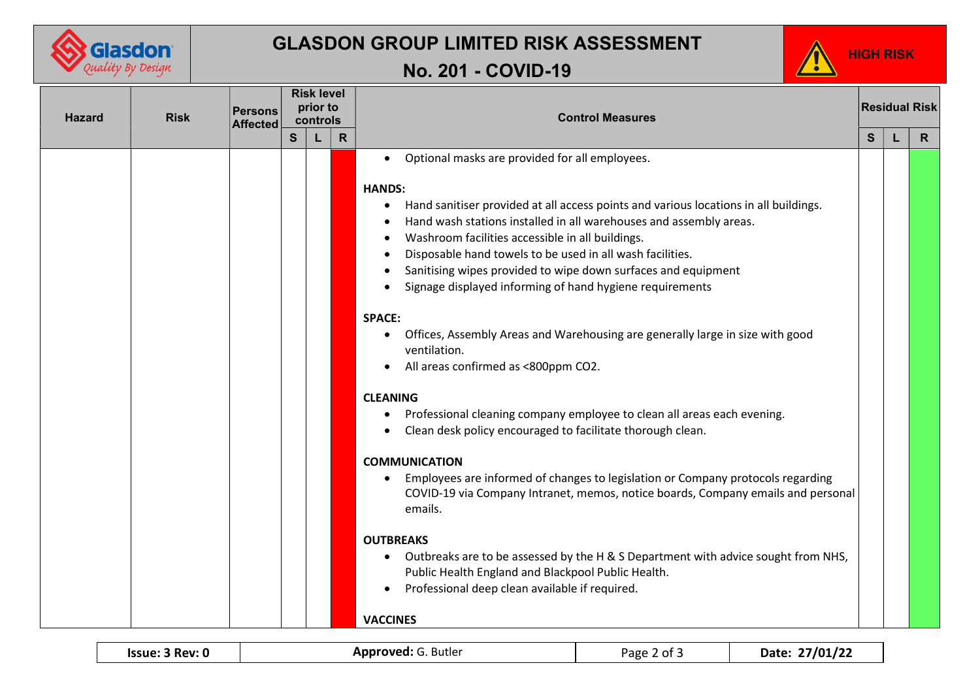

### GLASDON GROUP LIMITED RISK ASSESSMENT

## No. 201 - COVID-19



| <b>Hazard</b><br><b>Risk</b> |  | <b>Persons</b><br><b>Affected</b> |              | <b>Risk level</b><br>prior to<br>controls |              | <b>Control Measures</b>                                                                                                                                                                                                                                                                                                                                                                                                                                                                                                                                                                                                                                                                                                                                                                                                                                                                                                                                                                                                                                                                                                                                                                                                                                                                    |              | <b>Residual Risk</b> |              |  |  |  |
|------------------------------|--|-----------------------------------|--------------|-------------------------------------------|--------------|--------------------------------------------------------------------------------------------------------------------------------------------------------------------------------------------------------------------------------------------------------------------------------------------------------------------------------------------------------------------------------------------------------------------------------------------------------------------------------------------------------------------------------------------------------------------------------------------------------------------------------------------------------------------------------------------------------------------------------------------------------------------------------------------------------------------------------------------------------------------------------------------------------------------------------------------------------------------------------------------------------------------------------------------------------------------------------------------------------------------------------------------------------------------------------------------------------------------------------------------------------------------------------------------|--------------|----------------------|--------------|--|--|--|
|                              |  |                                   | $\mathbf{s}$ |                                           | $\mathsf{R}$ |                                                                                                                                                                                                                                                                                                                                                                                                                                                                                                                                                                                                                                                                                                                                                                                                                                                                                                                                                                                                                                                                                                                                                                                                                                                                                            | <sub>S</sub> |                      | $\mathsf{R}$ |  |  |  |
|                              |  |                                   |              |                                           |              | Optional masks are provided for all employees.<br>$\bullet$<br><b>HANDS:</b><br>Hand sanitiser provided at all access points and various locations in all buildings.<br>٠<br>Hand wash stations installed in all warehouses and assembly areas.<br>Washroom facilities accessible in all buildings.<br>Disposable hand towels to be used in all wash facilities.<br>Sanitising wipes provided to wipe down surfaces and equipment<br>Signage displayed informing of hand hygiene requirements<br><b>SPACE:</b><br>Offices, Assembly Areas and Warehousing are generally large in size with good<br>ventilation.<br>All areas confirmed as <800ppm CO2.<br><b>CLEANING</b><br>Professional cleaning company employee to clean all areas each evening.<br>Clean desk policy encouraged to facilitate thorough clean.<br><b>COMMUNICATION</b><br>Employees are informed of changes to legislation or Company protocols regarding<br>$\bullet$<br>COVID-19 via Company Intranet, memos, notice boards, Company emails and personal<br>emails.<br><b>OUTBREAKS</b><br>Outbreaks are to be assessed by the H & S Department with advice sought from NHS,<br>$\bullet$<br>Public Health England and Blackpool Public Health.<br>Professional deep clean available if required.<br><b>VACCINES</b> |              |                      |              |  |  |  |
|                              |  |                                   |              |                                           |              |                                                                                                                                                                                                                                                                                                                                                                                                                                                                                                                                                                                                                                                                                                                                                                                                                                                                                                                                                                                                                                                                                                                                                                                                                                                                                            |              |                      |              |  |  |  |

| Issue: 3 Rev: 0 |  |  |  |
|-----------------|--|--|--|
|-----------------|--|--|--|